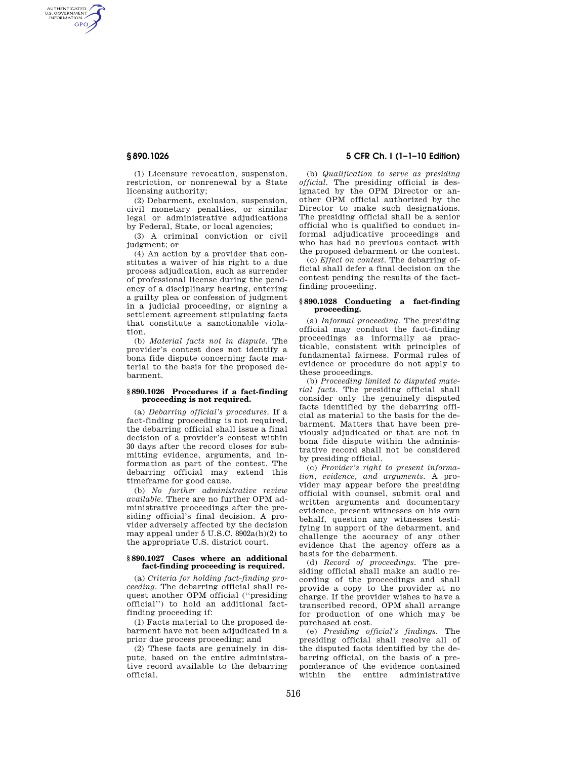AUTHENTICATED<br>U.S. GOVERNMENT<br>INFORMATION **GPO** 

> (1) Licensure revocation, suspension, restriction, or nonrenewal by a State licensing authority;

> (2) Debarment, exclusion, suspension, civil monetary penalties, or similar legal or administrative adjudications by Federal, State, or local agencies;

> (3) A criminal conviction or civil judgment; or

> (4) An action by a provider that constitutes a waiver of his right to a due process adjudication, such as surrender of professional license during the pendency of a disciplinary hearing, entering a guilty plea or confession of judgment in a judicial proceeding, or signing a settlement agreement stipulating facts that constitute a sanctionable violation.

> (b) *Material facts not in dispute.* The provider's contest does not identify a bona fide dispute concerning facts material to the basis for the proposed debarment.

### **§ 890.1026 Procedures if a fact-finding proceeding is not required.**

(a) *Debarring official's procedures.* If a fact-finding proceeding is not required, the debarring official shall issue a final decision of a provider's contest within 30 days after the record closes for submitting evidence, arguments, and information as part of the contest. The debarring official may extend this timeframe for good cause.

(b) *No further administrative review available.* There are no further OPM administrative proceedings after the presiding official's final decision. A provider adversely affected by the decision may appeal under 5 U.S.C. 8902a(h)(2) to the appropriate U.S. district court.

## **§ 890.1027 Cases where an additional fact-finding proceeding is required.**

(a) *Criteria for holding fact-finding proceeding.* The debarring official shall request another OPM official (''presiding official'') to hold an additional factfinding proceeding if:

(1) Facts material to the proposed debarment have not been adjudicated in a prior due process proceeding; and

(2) These facts are genuinely in dispute, based on the entire administrative record available to the debarring official.

# **§ 890.1026 5 CFR Ch. I (1–1–10 Edition)**

(b) *Qualification to serve as presiding official.* The presiding official is designated by the OPM Director or another OPM official authorized by the Director to make such designations. The presiding official shall be a senior official who is qualified to conduct informal adjudicative proceedings and who has had no previous contact with the proposed debarment or the contest.

(c) *Effect on contest.* The debarring official shall defer a final decision on the contest pending the results of the factfinding proceeding.

#### **§ 890.1028 Conducting a fact-finding proceeding.**

(a) *Informal proceeding.* The presiding official may conduct the fact-finding proceedings as informally as practicable, consistent with principles of fundamental fairness. Formal rules of evidence or procedure do not apply to these proceedings.

(b) *Proceeding limited to disputed material facts.* The presiding official shall consider only the genuinely disputed facts identified by the debarring official as material to the basis for the debarment. Matters that have been previously adjudicated or that are not in bona fide dispute within the administrative record shall not be considered by presiding official.

(c) *Provider's right to present information, evidence, and arguments.* A provider may appear before the presiding official with counsel, submit oral and written arguments and documentary evidence, present witnesses on his own behalf, question any witnesses testifying in support of the debarment, and challenge the accuracy of any other evidence that the agency offers as a basis for the debarment.

(d) *Record of proceedings.* The presiding official shall make an audio recording of the proceedings and shall provide a copy to the provider at no charge. If the provider wishes to have a transcribed record, OPM shall arrange for production of one which may be purchased at cost.

(e) *Presiding official's findings.* The presiding official shall resolve all of the disputed facts identified by the debarring official, on the basis of a preponderance of the evidence contained administrative